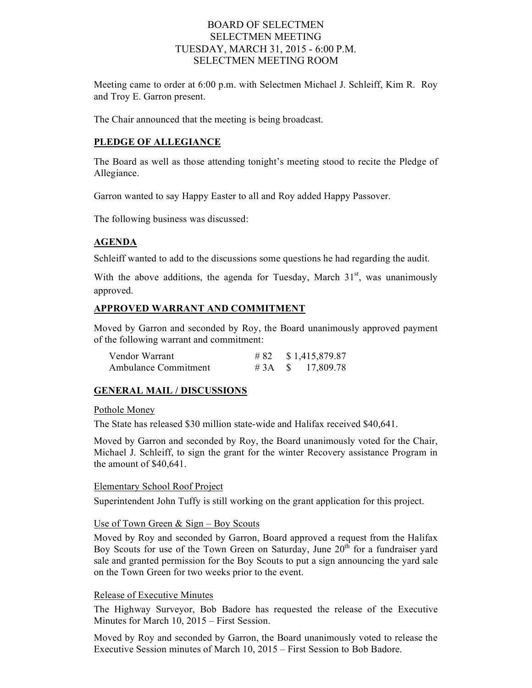## BOARD OF SELECTMEN SELECTMEN MEETING TUESDAY, MARCH 31, 2015 - 6:00 P.M. SELECTMEN MEETING ROOM

Meeting came to order at 6:00 p.m. with Selectmen Michael J. Schleiff, Kim R. Roy and Troy E. Garron present.

The Chair announced that the meeting is being broadcast.

#### **PLEDGE OF ALLEGIANCE**

The Board as well as those attending tonight's meeting stood to recite the Pledge of Allegiance.

Garron wanted to say Happy Easter to all and Roy added Happy Passover.

The following business was discussed:

#### **AGENDA**

Schleiff wanted to add to the discussions some questions he had regarding the audit.

With the above additions, the agenda for Tuesday, March  $31<sup>st</sup>$ , was unanimously approved.

#### **APPROVED WARRANT AND COMMITMENT**

Moved by Garron and seconded by Roy, the Board unanimously approved payment of the following warrant and commitment:

| Vendor Warrant              | #82 | \$1,415,879.87            |
|-----------------------------|-----|---------------------------|
| <b>Ambulance Commitment</b> |     | # $3A \quad$ \$ 17,809.78 |

#### **GENERAL MAIL / DISCUSSIONS**

Pothole Money

The State has released \$30 million state-wide and Halifax received \$40,641.

Moved by Garron and seconded by Roy, the Board unanimously voted for the Chair, Michael J. Schleiff, to sign the grant for the winter Recovery assistance Program in the amount of \$40,641.

#### Elementary School Roof Project

Superintendent John Tuffy is still working on the grant application for this project.

#### Use of Town Green  $&$  Sign – Boy Scouts

Moved by Roy and seconded by Garron, Board approved a request from the Halifax Boy Scouts for use of the Town Green on Saturday, June  $20<sup>th</sup>$  for a fundraiser yard sale and granted permission for the Boy Scouts to put a sign announcing the yard sale on the Town Green for two weeks prior to the event.

### Release of Executive Minutes

The Highway Surveyor, Bob Badore has requested the release of the Executive Minutes for March 10, 2015 – First Session.

Moved by Roy and seconded by Garron, the Board unanimously voted to release the Executive Session minutes of March 10, 2015 – First Session to Bob Badore.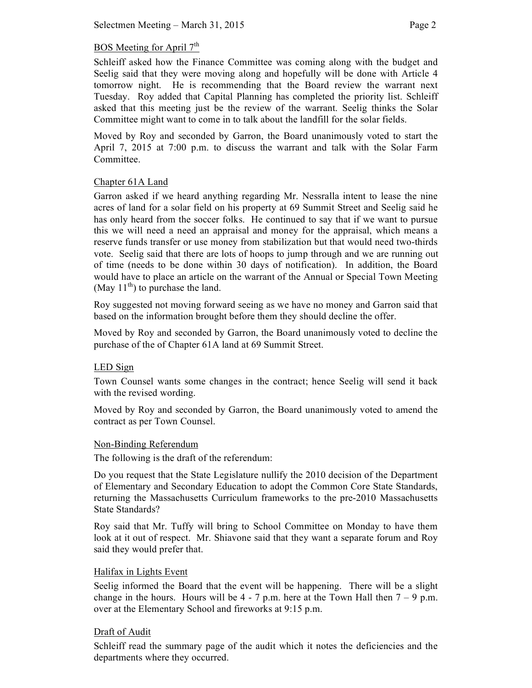# BOS Meeting for April  $7<sup>th</sup>$

Schleiff asked how the Finance Committee was coming along with the budget and Seelig said that they were moving along and hopefully will be done with Article 4 tomorrow night. He is recommending that the Board review the warrant next Tuesday. Roy added that Capital Planning has completed the priority list. Schleiff asked that this meeting just be the review of the warrant. Seelig thinks the Solar Committee might want to come in to talk about the landfill for the solar fields.

Moved by Roy and seconded by Garron, the Board unanimously voted to start the April 7, 2015 at 7:00 p.m. to discuss the warrant and talk with the Solar Farm Committee.

# Chapter 61A Land

Garron asked if we heard anything regarding Mr. Nessralla intent to lease the nine acres of land for a solar field on his property at 69 Summit Street and Seelig said he has only heard from the soccer folks. He continued to say that if we want to pursue this we will need a need an appraisal and money for the appraisal, which means a reserve funds transfer or use money from stabilization but that would need two-thirds vote. Seelig said that there are lots of hoops to jump through and we are running out of time (needs to be done within 30 days of notification). In addition, the Board would have to place an article on the warrant of the Annual or Special Town Meeting (May  $11^{th}$ ) to purchase the land.

Roy suggested not moving forward seeing as we have no money and Garron said that based on the information brought before them they should decline the offer.

Moved by Roy and seconded by Garron, the Board unanimously voted to decline the purchase of the of Chapter 61A land at 69 Summit Street.

## LED Sign

Town Counsel wants some changes in the contract; hence Seelig will send it back with the revised wording.

Moved by Roy and seconded by Garron, the Board unanimously voted to amend the contract as per Town Counsel.

## Non-Binding Referendum

The following is the draft of the referendum:

Do you request that the State Legislature nullify the 2010 decision of the Department of Elementary and Secondary Education to adopt the Common Core State Standards, returning the Massachusetts Curriculum frameworks to the pre-2010 Massachusetts State Standards?

Roy said that Mr. Tuffy will bring to School Committee on Monday to have them look at it out of respect. Mr. Shiavone said that they want a separate forum and Roy said they would prefer that.

## Halifax in Lights Event

Seelig informed the Board that the event will be happening. There will be a slight change in the hours. Hours will be  $4 - 7$  p.m. here at the Town Hall then  $7 - 9$  p.m. over at the Elementary School and fireworks at 9:15 p.m.

## Draft of Audit

Schleiff read the summary page of the audit which it notes the deficiencies and the departments where they occurred.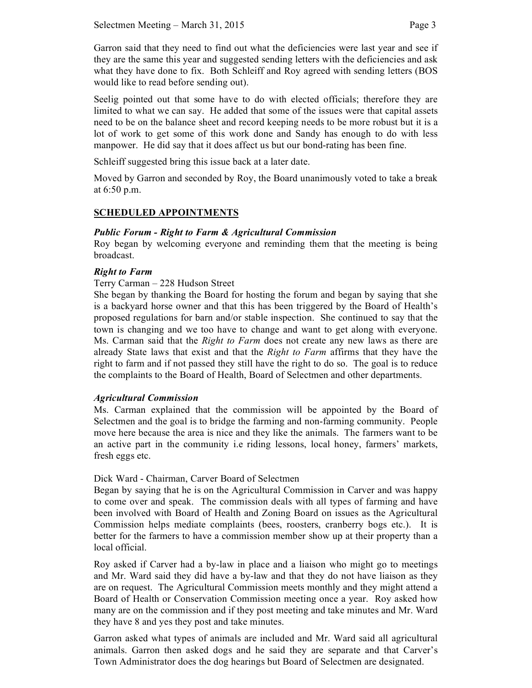Garron said that they need to find out what the deficiencies were last year and see if they are the same this year and suggested sending letters with the deficiencies and ask what they have done to fix. Both Schleiff and Roy agreed with sending letters (BOS would like to read before sending out).

Seelig pointed out that some have to do with elected officials; therefore they are limited to what we can say. He added that some of the issues were that capital assets need to be on the balance sheet and record keeping needs to be more robust but it is a lot of work to get some of this work done and Sandy has enough to do with less manpower. He did say that it does affect us but our bond-rating has been fine.

Schleiff suggested bring this issue back at a later date.

Moved by Garron and seconded by Roy, the Board unanimously voted to take a break at 6:50 p.m.

# **SCHEDULED APPOINTMENTS**

## *Public Forum - Right to Farm & Agricultural Commission*

Roy began by welcoming everyone and reminding them that the meeting is being broadcast.

### *Right to Farm*

### Terry Carman – 228 Hudson Street

She began by thanking the Board for hosting the forum and began by saying that she is a backyard horse owner and that this has been triggered by the Board of Health's proposed regulations for barn and/or stable inspection. She continued to say that the town is changing and we too have to change and want to get along with everyone. Ms. Carman said that the *Right to Farm* does not create any new laws as there are already State laws that exist and that the *Right to Farm* affirms that they have the right to farm and if not passed they still have the right to do so. The goal is to reduce the complaints to the Board of Health, Board of Selectmen and other departments.

#### *Agricultural Commission*

Ms. Carman explained that the commission will be appointed by the Board of Selectmen and the goal is to bridge the farming and non-farming community. People move here because the area is nice and they like the animals. The farmers want to be an active part in the community i.e riding lessons, local honey, farmers' markets, fresh eggs etc.

#### Dick Ward - Chairman, Carver Board of Selectmen

Began by saying that he is on the Agricultural Commission in Carver and was happy to come over and speak. The commission deals with all types of farming and have been involved with Board of Health and Zoning Board on issues as the Agricultural Commission helps mediate complaints (bees, roosters, cranberry bogs etc.). It is better for the farmers to have a commission member show up at their property than a local official.

Roy asked if Carver had a by-law in place and a liaison who might go to meetings and Mr. Ward said they did have a by-law and that they do not have liaison as they are on request. The Agricultural Commission meets monthly and they might attend a Board of Health or Conservation Commission meeting once a year. Roy asked how many are on the commission and if they post meeting and take minutes and Mr. Ward they have 8 and yes they post and take minutes.

Garron asked what types of animals are included and Mr. Ward said all agricultural animals. Garron then asked dogs and he said they are separate and that Carver's Town Administrator does the dog hearings but Board of Selectmen are designated.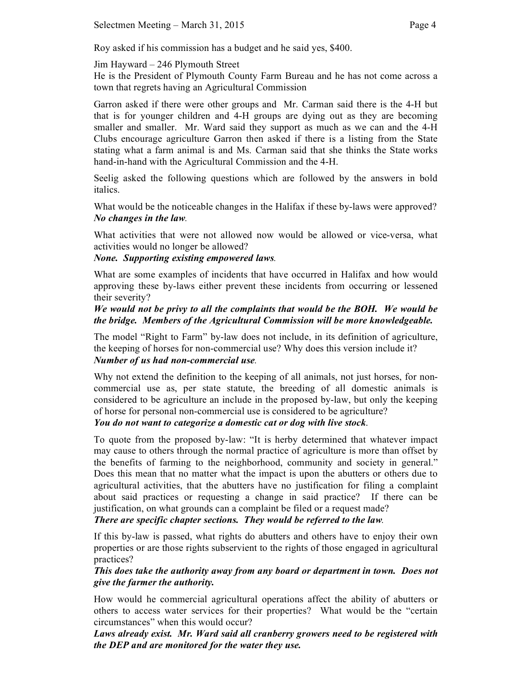Roy asked if his commission has a budget and he said yes, \$400.

Jim Hayward – 246 Plymouth Street

He is the President of Plymouth County Farm Bureau and he has not come across a town that regrets having an Agricultural Commission

Garron asked if there were other groups and Mr. Carman said there is the 4-H but that is for younger children and 4-H groups are dying out as they are becoming smaller and smaller. Mr. Ward said they support as much as we can and the 4-H Clubs encourage agriculture Garron then asked if there is a listing from the State stating what a farm animal is and Ms. Carman said that she thinks the State works hand-in-hand with the Agricultural Commission and the 4-H.

Seelig asked the following questions which are followed by the answers in bold italics.

What would be the noticeable changes in the Halifax if these by-laws were approved? *No changes in the law.*

What activities that were not allowed now would be allowed or vice-versa, what activities would no longer be allowed?

*None. Supporting existing empowered laws.*

What are some examples of incidents that have occurred in Halifax and how would approving these by-laws either prevent these incidents from occurring or lessened their severity?

*We would not be privy to all the complaints that would be the BOH. We would be the bridge. Members of the Agricultural Commission will be more knowledgeable.*

The model "Right to Farm" by-law does not include, in its definition of agriculture, the keeping of horses for non-commercial use? Why does this version include it? *Number of us had non-commercial use.*

Why not extend the definition to the keeping of all animals, not just horses, for noncommercial use as, per state statute, the breeding of all domestic animals is considered to be agriculture an include in the proposed by-law, but only the keeping of horse for personal non-commercial use is considered to be agriculture?

*You do not want to categorize a domestic cat or dog with live stock*.

To quote from the proposed by-law: "It is herby determined that whatever impact may cause to others through the normal practice of agriculture is more than offset by the benefits of farming to the neighborhood, community and society in general." Does this mean that no matter what the impact is upon the abutters or others due to agricultural activities, that the abutters have no justification for filing a complaint about said practices or requesting a change in said practice? If there can be justification, on what grounds can a complaint be filed or a request made?

*There are specific chapter sections. They would be referred to the law.*

If this by-law is passed, what rights do abutters and others have to enjoy their own properties or are those rights subservient to the rights of those engaged in agricultural practices?

*This does take the authority away from any board or department in town. Does not give the farmer the authority.* 

How would he commercial agricultural operations affect the ability of abutters or others to access water services for their properties? What would be the "certain circumstances" when this would occur?

*Laws already exist. Mr. Ward said all cranberry growers need to be registered with the DEP and are monitored for the water they use.*